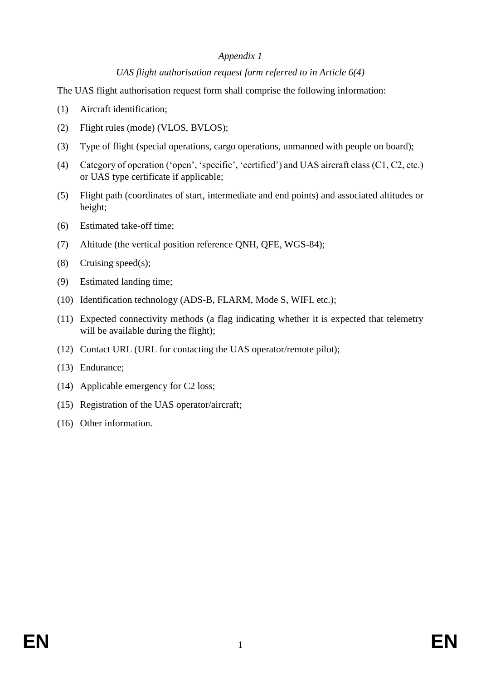#### *Appendix 1*

## *UAS flight authorisation request form referred to in Article 6(4)*

The UAS flight authorisation request form shall comprise the following information:

- (1) Aircraft identification;
- (2) Flight rules (mode) (VLOS, BVLOS);
- (3) Type of flight (special operations, cargo operations, unmanned with people on board);
- (4) Category of operation ('open', 'specific', 'certified') and UAS aircraft class (C1, C2, etc.) or UAS type certificate if applicable;
- (5) Flight path (coordinates of start, intermediate and end points) and associated altitudes or height;
- (6) Estimated take-off time;
- (7) Altitude (the vertical position reference QNH, QFE, WGS-84);
- (8) Cruising speed(s);
- (9) Estimated landing time;
- (10) Identification technology (ADS-B, FLARM, Mode S, WIFI, etc.);
- (11) Expected connectivity methods (a flag indicating whether it is expected that telemetry will be available during the flight);
- (12) Contact URL (URL for contacting the UAS operator/remote pilot);
- (13) Endurance;
- (14) Applicable emergency for C2 loss;
- (15) Registration of the UAS operator/aircraft;
- (16) Other information.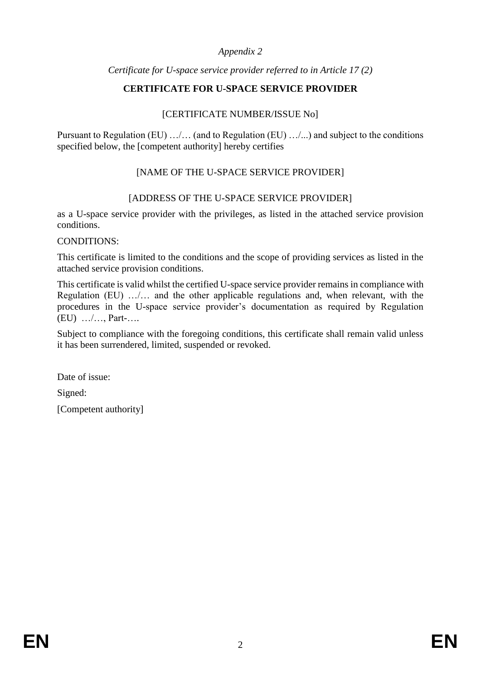## *Appendix 2*

## *Certificate for U-space service provider referred to in Article 17 (2)*

# **CERTIFICATE FOR U-SPACE SERVICE PROVIDER**

## [CERTIFICATE NUMBER/ISSUE No]

Pursuant to Regulation (EU) …/… (and to Regulation (EU) …/...) and subject to the conditions specified below, the [competent authority] hereby certifies

# [NAME OF THE U-SPACE SERVICE PROVIDER]

# [ADDRESS OF THE U-SPACE SERVICE PROVIDER]

as a U-space service provider with the privileges, as listed in the attached service provision conditions.

CONDITIONS:

This certificate is limited to the conditions and the scope of providing services as listed in the attached service provision conditions.

This certificate is valid whilst the certified U-space service provider remains in compliance with Regulation (EU) …/… and the other applicable regulations and, when relevant, with the procedures in the U-space service provider's documentation as required by Regulation (EU) …/…, Part-….

Subject to compliance with the foregoing conditions, this certificate shall remain valid unless it has been surrendered, limited, suspended or revoked.

Date of issue:

Signed:

[Competent authority]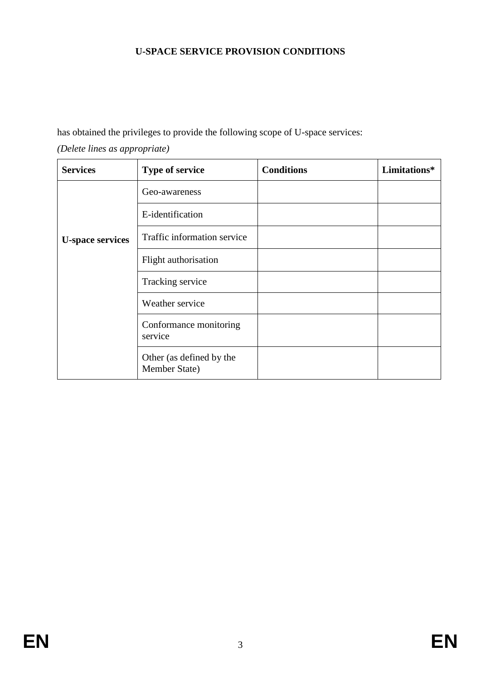# **U-SPACE SERVICE PROVISION CONDITIONS**

has obtained the privileges to provide the following scope of U-space services:

| (Delete lines as appropriate) |  |
|-------------------------------|--|
|-------------------------------|--|

| <b>Services</b>         | <b>Type of service</b>                    | <b>Conditions</b> | Limitations* |
|-------------------------|-------------------------------------------|-------------------|--------------|
| <b>U-space services</b> | Geo-awareness                             |                   |              |
|                         | E-identification                          |                   |              |
|                         | Traffic information service               |                   |              |
|                         | Flight authorisation                      |                   |              |
|                         | Tracking service                          |                   |              |
|                         | Weather service                           |                   |              |
|                         | Conformance monitoring<br>service         |                   |              |
|                         | Other (as defined by the<br>Member State) |                   |              |